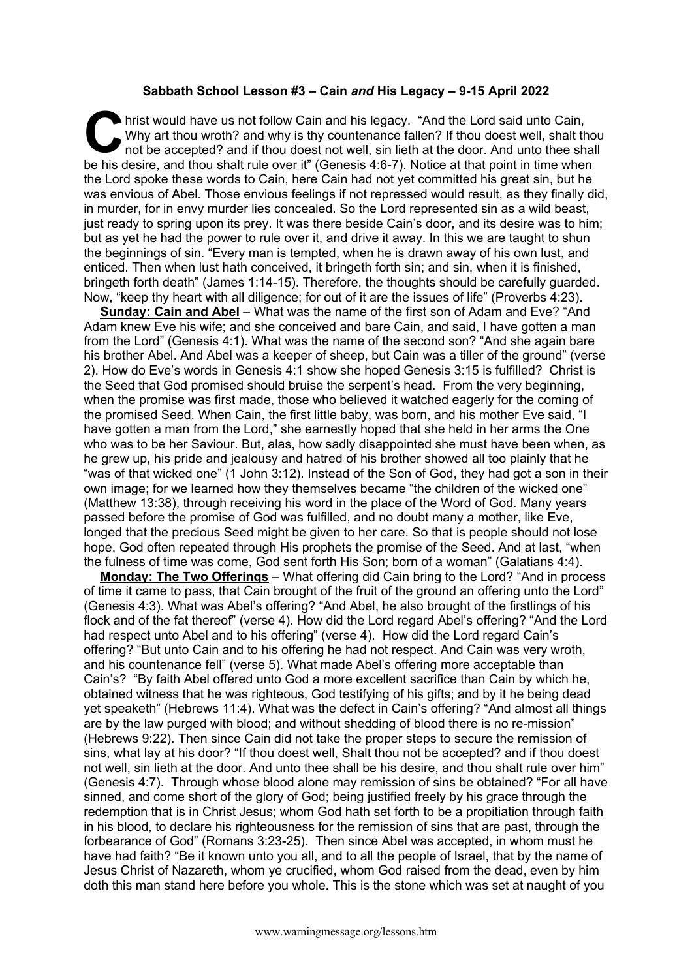## **Sabbath School Lesson #3 – Cain** *and* **His Legacy – 9-15 April 2022**

hrist would have us not follow Cain and his legacy. "And the Lord said unto Cain, Why art thou wroth? and why is thy countenance fallen? If thou doest well, shalt thou not be accepted? and if thou doest not well, sin lieth at the door. And unto thee shall be his desire, and thou shalt rule over it" (Genesis 4:6-7). Notice at that point in time when the Lord spoke these words to Cain, here Cain had not yet committed his great sin, but he was envious of Abel. Those envious feelings if not repressed would result, as they finally did, in murder, for in envy murder lies concealed. So the Lord represented sin as a wild beast, just ready to spring upon its prey. It was there beside Cain's door, and its desire was to him; but as yet he had the power to rule over it, and drive it away. In this we are taught to shun the beginnings of sin. "Every man is tempted, when he is drawn away of his own lust, and enticed. Then when lust hath conceived, it bringeth forth sin; and sin, when it is finished, bringeth forth death" (James 1:14-15). Therefore, the thoughts should be carefully guarded. Now, "keep thy heart with all diligence; for out of it are the issues of life" (Proverbs 4:23). **C** hris

**Sunday: Cain and Abel** – What was the name of the first son of Adam and Eve? "And Adam knew Eve his wife; and she conceived and bare Cain, and said, I have gotten a man from the Lord" (Genesis 4:1). What was the name of the second son? "And she again bare his brother Abel. And Abel was a keeper of sheep, but Cain was a tiller of the ground" (verse 2). How do Eve's words in Genesis 4:1 show she hoped Genesis 3:15 is fulfilled? Christ is the Seed that God promised should bruise the serpent's head. From the very beginning, when the promise was first made, those who believed it watched eagerly for the coming of the promised Seed. When Cain, the first little baby, was born, and his mother Eve said, "I have gotten a man from the Lord," she earnestly hoped that she held in her arms the One who was to be her Saviour. But, alas, how sadly disappointed she must have been when, as he grew up, his pride and jealousy and hatred of his brother showed all too plainly that he "was of that wicked one" (1 John 3:12). Instead of the Son of God, they had got a son in their own image; for we learned how they themselves became "the children of the wicked one" (Matthew 13:38), through receiving his word in the place of the Word of God. Many years passed before the promise of God was fulfilled, and no doubt many a mother, like Eve, longed that the precious Seed might be given to her care. So that is people should not lose hope, God often repeated through His prophets the promise of the Seed. And at last, "when the fulness of time was come, God sent forth His Son; born of a woman" (Galatians 4:4).

**Monday: The Two Offerings** – What offering did Cain bring to the Lord? "And in process of time it came to pass, that Cain brought of the fruit of the ground an offering unto the Lord" (Genesis 4:3). What was Abel's offering? "And Abel, he also brought of the firstlings of his flock and of the fat thereof" (verse 4). How did the Lord regard Abel's offering? "And the Lord had respect unto Abel and to his offering" (verse 4). How did the Lord regard Cain's offering? "But unto Cain and to his offering he had not respect. And Cain was very wroth, and his countenance fell" (verse 5). What made Abel's offering more acceptable than Cain's? "By faith Abel offered unto God a more excellent sacrifice than Cain by which he, obtained witness that he was righteous, God testifying of his gifts; and by it he being dead yet speaketh" (Hebrews 11:4). What was the defect in Cain's offering? "And almost all things are by the law purged with blood; and without shedding of blood there is no re-mission" (Hebrews 9:22). Then since Cain did not take the proper steps to secure the remission of sins, what lay at his door? "If thou doest well, Shalt thou not be accepted? and if thou doest not well, sin lieth at the door. And unto thee shall be his desire, and thou shalt rule over him" (Genesis 4:7). Through whose blood alone may remission of sins be obtained? "For all have sinned, and come short of the glory of God; being justified freely by his grace through the redemption that is in Christ Jesus; whom God hath set forth to be a propitiation through faith in his blood, to declare his righteousness for the remission of sins that are past, through the forbearance of God" (Romans 3:23-25). Then since Abel was accepted, in whom must he have had faith? "Be it known unto you all, and to all the people of Israel, that by the name of Jesus Christ of Nazareth, whom ye crucified, whom God raised from the dead, even by him doth this man stand here before you whole. This is the stone which was set at naught of you